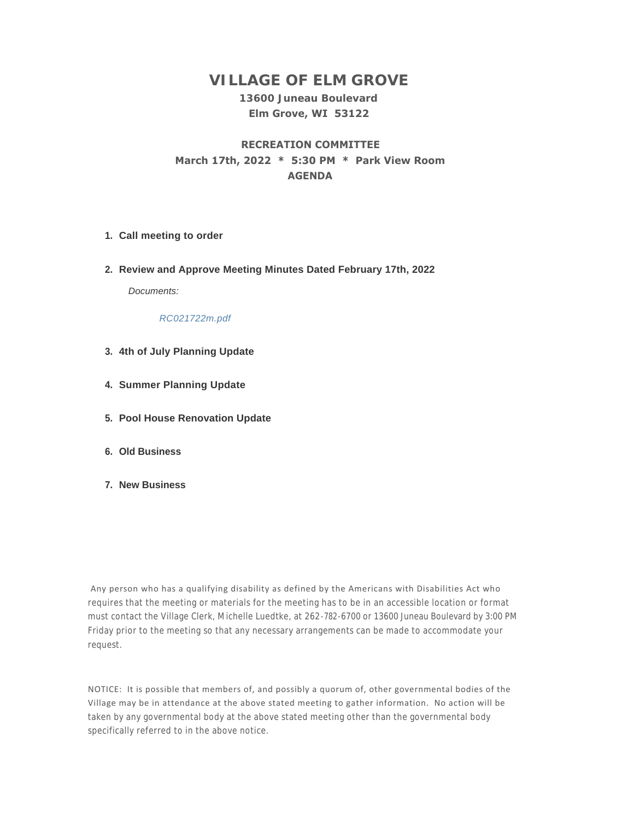# **VILLAGE OF ELM GROVE**

#### **13600 Juneau Boulevard Elm Grove, WI 53122**

## **RECREATION COMMITTEE March 17th, 2022 \* 5:30 PM \* Park View Room AGENDA**

- **Call meeting to order 1.**
- **Review and Approve Meeting Minutes Dated February 17th, 2022 2.**

*Documents:*

*RC021722m.pdf*

- **4th of July Planning Update 3.**
- **Summer Planning Update 4.**
- **Pool House Renovation Update 5.**
- **Old Business 6.**
- **New Business 7.**

 Any person who has a qualifying disability as defined by the Americans with Disabilities Act who requires that the meeting or materials for the meeting has to be in an accessible location or format must contact the Village Clerk, Michelle Luedtke, at 262-782-6700 or 13600 Juneau Boulevard by 3:00 PM Friday prior to the meeting so that any necessary arrangements can be made to accommodate your request.

NOTICE: It is possible that members of, and possibly a quorum of, other governmental bodies of the Village may be in attendance at the above stated meeting to gather information. No action will be taken by any governmental body at the above stated meeting other than the governmental body specifically referred to in the above notice.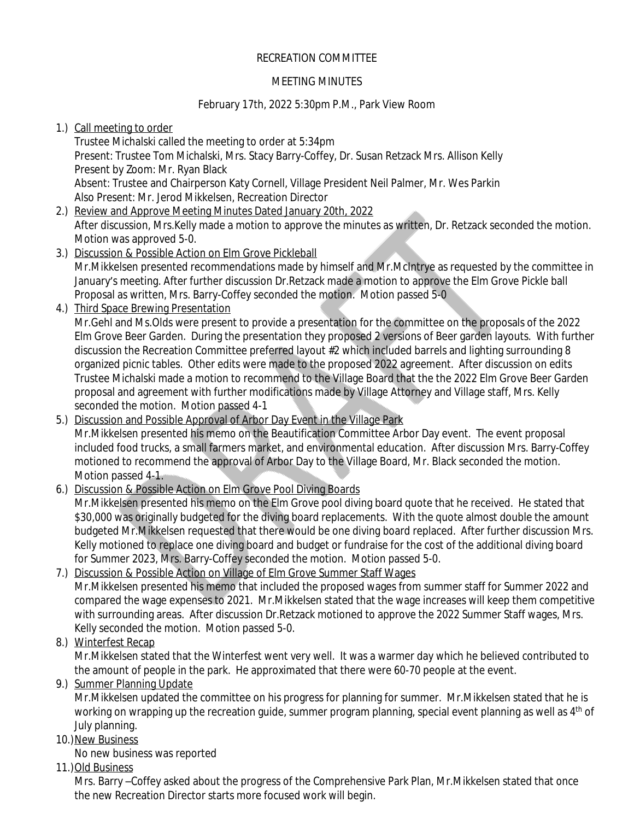## RECREATION COMMITTEE

#### MEETING MINUTES

### February 17th, 2022 5:30pm P.M., Park View Room

## 1.) Call meeting to order

Trustee Michalski called the meeting to order at 5:34pm Present: Trustee Tom Michalski, Mrs. Stacy Barry-Coffey, Dr. Susan Retzack Mrs. Allison Kelly Present by Zoom: Mr. Ryan Black Absent: Trustee and Chairperson Katy Cornell, Village President Neil Palmer, Mr. Wes Parkin Also Present: Mr. Jerod Mikkelsen, Recreation Director

- 2.) Review and Approve Meeting Minutes Dated January 20th, 2022 After discussion, Mrs.Kelly made a motion to approve the minutes as written, Dr. Retzack seconded the motion. Motion was approved 5-0.
- 3.) Discussion & Possible Action on Elm Grove Pickleball Mr.Mikkelsen presented recommendations made by himself and Mr.McIntrye as requested by the committee in January's meeting. After further discussion Dr.Retzack made a motion to approve the Elm Grove Pickle ball Proposal as written, Mrs. Barry-Coffey seconded the motion. Motion passed 5-0
- 4.) Third Space Brewing Presentation

Mr.Gehl and Ms.Olds were present to provide a presentation for the committee on the proposals of the 2022 Elm Grove Beer Garden. During the presentation they proposed 2 versions of Beer garden layouts. With further discussion the Recreation Committee preferred layout #2 which included barrels and lighting surrounding 8 organized picnic tables. Other edits were made to the proposed 2022 agreement. After discussion on edits Trustee Michalski made a motion to recommend to the Village Board that the the 2022 Elm Grove Beer Garden proposal and agreement with further modifications made by Village Attorney and Village staff, Mrs. Kelly seconded the motion. Motion passed 4-1

#### 5.) Discussion and Possible Approval of Arbor Day Event in the Village Park Mr.Mikkelsen presented his memo on the Beautification Committee Arbor Day event. The event proposal included food trucks, a small farmers market, and environmental education. After discussion Mrs. Barry-Coffey motioned to recommend the approval of Arbor Day to the Village Board, Mr. Black seconded the motion. Motion passed 4-1.

#### 6.) Discussion & Possible Action on Elm Grove Pool Diving Boards Mr.Mikkelsen presented his memo on the Elm Grove pool diving board quote that he received. He stated that \$30,000 was originally budgeted for the diving board replacements. With the quote almost double the amount budgeted Mr.Mikkelsen requested that there would be one diving board replaced. After further discussion Mrs. Kelly motioned to replace one diving board and budget or fundraise for the cost of the additional diving board for Summer 2023, Mrs. Barry-Coffey seconded the motion. Motion passed 5-0.

## 7.) Discussion & Possible Action on Village of Elm Grove Summer Staff Wages Mr.Mikkelsen presented his memo that included the proposed wages from summer staff for Summer 2022 and compared the wage expenses to 2021. Mr.Mikkelsen stated that the wage increases will keep them competitive with surrounding areas. After discussion Dr.Retzack motioned to approve the 2022 Summer Staff wages, Mrs. Kelly seconded the motion. Motion passed 5-0.

8.) Winterfest Recap

Mr.Mikkelsen stated that the Winterfest went very well. It was a warmer day which he believed contributed to the amount of people in the park. He approximated that there were 60-70 people at the event.

9.) Summer Planning Update

Mr.Mikkelsen updated the committee on his progress for planning for summer. Mr.Mikkelsen stated that he is working on wrapping up the recreation guide, summer program planning, special event planning as well as 4<sup>th</sup> of July planning.

## 10.) New Business

No new business was reported

11.)Old Business

Mrs. Barry –Coffey asked about the progress of the Comprehensive Park Plan, Mr.Mikkelsen stated that once the new Recreation Director starts more focused work will begin.